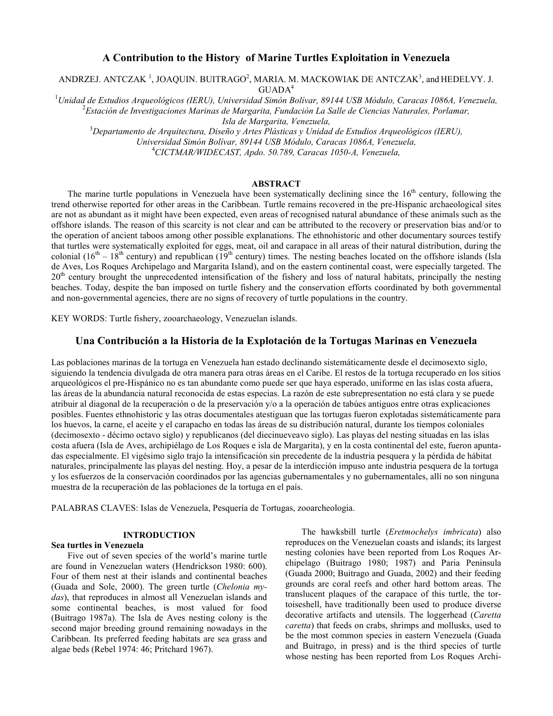# A Contribution to the History of Marine Turtles Exploitation in Venezuela

ANDRZEJ. ANTCZAK $^1$ , JOAQUIN. BUITRAGO<sup>2</sup>, MARIA. M. MACKOWIAK DE ANTCZAK $^3$ , and HEDELVY. J.  $GUADA<sup>4</sup>$ 

 $1$ Unidad de Estudios Arqueológicos (IERU), Universidad Simón Bolívar, 89144 USB Módulo, Caracas 1086A, Venezuela,  ${}^{2}$ Estación de Investigaciones Marinas de Margarita, Fundación La Salle de Ciencias Naturales, Porlamar, Isla de Margarita, Venezuela,

 $3$ Departamento de Arauitectura, Diseño y Artes Plásticas y Unidad de Estudios Arqueológicos (IERU), Universidad Simón Bolívar, 89144 USB Módulo, Caracas 1086A, Venezuela, <sup>4</sup>CICTMAR/WIDECAST, Apdo. 50.789, Caracas 1050-A, Venezuela,

### ABSTRACT

The marine turtle populations in Venezuela have been systematically declining since the  $16<sup>th</sup>$  century, following the trend otherwise reported for other areas in the Caribbean. Turtle remains recovered in the pre-Hispanic archaeological sites are not as abundant as it might have been expected, even areas of recognised natural abundance of these animals such as the offshore islands. The reason of this scarcity is not clear and can be attributed to the recovery or preservation bias and/or to the operation of ancient taboos among other possible explanations. The ethnohistoric and other documentary sources testify that turtles were systematically exploited for eggs, meat, oil and carapace in all areas of their natural distribution, during the colonial (16<sup>th</sup> – 18<sup>th</sup> century) and republican (19<sup>th</sup> century) times. The nesting beaches located on the offshore islands (Isla de Aves, Los Roques Archipelago and Margarita Island), and on the eastern continental coast, were especially targeted. The 20<sup>th</sup> century brought the unprecedented intensification of the fishery and loss of natural habitats, principally the nesting beaches. Today, despite the ban imposed on turtle fishery and the conservation efforts coordinated by both governmental and non-governmental agencies, there are no signs of recovery of turtle populations in the country.

KEY WORDS: Turtle fishery, zooarchaeology, Venezuelan islands.

# Una Contribución a la Historia de la Explotación de la Tortugas Marinas en Venezuela

Las poblaciones marinas de la tortuga en Venezuela han estado declinando sistemáticamente desde el decimosexto siglo, siguiendo la tendencia divulgada de otra manera para otras áreas en el Caribe. El restos de la tortuga recuperado en los sitios arqueológicos el pre-Hispánico no es tan abundante como puede ser que haya esperado, uniforme en las islas costa afuera, las áreas de la abundancia natural reconocida de estas especias. La razón de este subrepresentation no está clara y se puede atribuir al diagonal de la recuperación o de la preservación y/o a la operación de tabúes antiguos entre otras explicaciones posibles. Fuentes ethnohistoric y las otras documentales atestiguan que las tortugas fueron explotadas sistemáticamente para los huevos, la carne, el aceite y el carapacho en todas las áreas de su distribución natural, durante los tiempos coloniales (decimosexto - décimo octavo siglo) y republicanos (del diecinueveavo siglo). Las playas del nesting situadas en las islas costa afuera (Isla de Aves, archipiélago de Los Roques e isla de Margarita), y en la costa continental del este, fueron apuntadas especialmente. El vigésimo siglo trajo la intensificación sin precedente de la industria pesquera y la pérdida de hábitat naturales, principalmente las playas del nesting. Hoy, a pesar de la interdicción impuso ante industria pesquera de la tortuga y los esfuerzos de la conservación coordinados por las agencias gubernamentales y no gubernamentales, allí no son ninguna muestra de la recuperación de las poblaciones de la tortuga en el país.

PALABRAS CLAVES: Islas de Venezuela, Pesquería de Tortugas, zooarcheologia.

### INTRODUCTION

#### Sea turtles in Venezuela

Five out of seven species of the world's marine turtle are found in Venezuelan waters (Hendrickson 1980: 600). Four of them nest at their islands and continental beaches (Guada and Sole, 2000). The green turtle (Chelonia mydas), that reproduces in almost all Venezuelan islands and some continental beaches, is most valued for food (Buitrago 1987a). The Isla de Aves nesting colony is the second major breeding ground remaining nowadays in the Caribbean. Its preferred feeding habitats are sea grass and algae beds (Rebel 1974: 46; Pritchard 1967).

The hawksbill turtle (Eretmochelys imbricata) also reproduces on the Venezuelan coasts and islands; its largest nesting colonies have been reported from Los Roques Archipelago (Buitrago 1980; 1987) and Paria Peninsula (Guada 2000; Buitrago and Guada, 2002) and their feeding grounds are coral reefs and other hard bottom areas. The translucent plaques of the carapace of this turtle, the tortoiseshell, have traditionally been used to produce diverse decorative artifacts and utensils. The loggerhead (Caretta caretta) that feeds on crabs, shrimps and mollusks, used to be the most common species in eastern Venezuela (Guada and Buitrago, in press) and is the third species of turtle whose nesting has been reported from Los Roques Archi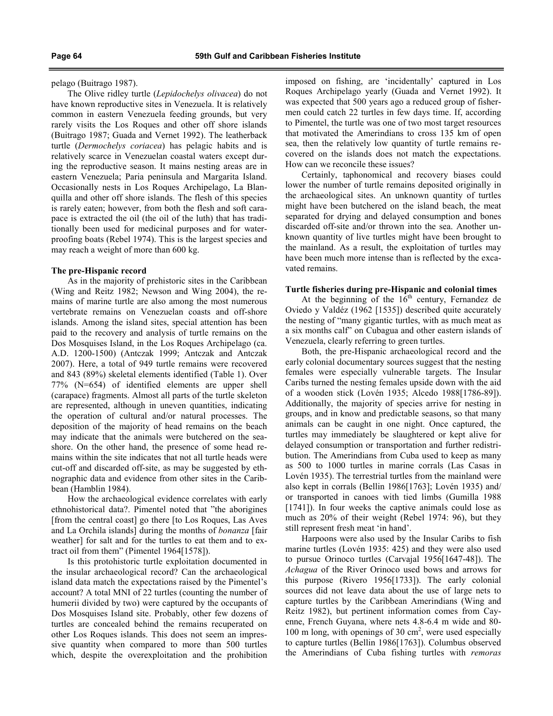pelago (Buitrago 1987).

The Olive ridley turtle (Lepidochelys olivacea) do not have known reproductive sites in Venezuela. It is relatively common in eastern Venezuela feeding grounds, but very rarely visits the Los Roques and other off shore islands (Buitrago 1987; Guada and Vernet 1992). The leatherback turtle (Dermochelys coriacea) has pelagic habits and is relatively scarce in Venezuelan coastal waters except during the reproductive season. It mains nesting areas are in eastern Venezuela; Paria peninsula and Margarita Island. Occasionally nests in Los Roques Archipelago, La Blanquilla and other off shore islands. The flesh of this species is rarely eaten; however, from both the flesh and soft carapace is extracted the oil (the oil of the luth) that has traditionally been used for medicinal purposes and for waterproofing boats (Rebel 1974). This is the largest species and may reach a weight of more than 600 kg.

#### The pre-Hispanic record

As in the majority of prehistoric sites in the Caribbean (Wing and Reitz 1982; Newson and Wing 2004), the remains of marine turtle are also among the most numerous vertebrate remains on Venezuelan coasts and off-shore islands. Among the island sites, special attention has been paid to the recovery and analysis of turtle remains on the Dos Mosquises Island, in the Los Roques Archipelago (ca. A.D. 1200-1500) (Antczak 1999; Antczak and Antczak 2007). Here, a total of 949 turtle remains were recovered and 843 (89%) skeletal elements identified (Table 1). Over 77% (N=654) of identified elements are upper shell (carapace) fragments. Almost all parts of the turtle skeleton are represented, although in uneven quantities, indicating the operation of cultural and/or natural processes. The deposition of the majority of head remains on the beach may indicate that the animals were butchered on the seashore. On the other hand, the presence of some head remains within the site indicates that not all turtle heads were cut-off and discarded off-site, as may be suggested by ethnographic data and evidence from other sites in the Caribbean (Hamblin 1984).

How the archaeological evidence correlates with early ethnohistorical data?. Pimentel noted that "the aborigines [from the central coast] go there [to Los Roques, Las Aves and La Orchila islands] during the months of bonanza [fair weather] for salt and for the turtles to eat them and to extract oil from them" (Pimentel 1964[1578]).

Is this protohistoric turtle exploitation documented in the insular archaeological record? Can the archaeological island data match the expectations raised by the Pimentel's account? A total MNI of 22 turtles (counting the number of humerii divided by two) were captured by the occupants of Dos Mosquises Island site. Probably, other few dozens of turtles are concealed behind the remains recuperated on other Los Roques islands. This does not seem an impressive quantity when compared to more than 500 turtles which, despite the overexploitation and the prohibition imposed on fishing, are 'incidentally' captured in Los Roques Archipelago yearly (Guada and Vernet 1992). It was expected that 500 years ago a reduced group of fishermen could catch 22 turtles in few days time. If, according to Pimentel, the turtle was one of two most target resources that motivated the Amerindians to cross 135 km of open sea, then the relatively low quantity of turtle remains recovered on the islands does not match the expectations. How can we reconcile these issues?

Certainly, taphonomical and recovery biases could lower the number of turtle remains deposited originally in the archaeological sites. An unknown quantity of turtles might have been butchered on the island beach, the meat separated for drying and delayed consumption and bones discarded off-site and/or thrown into the sea. Another unknown quantity of live turtles might have been brought to the mainland. As a result, the exploitation of turtles may have been much more intense than is reflected by the excavated remains.

## Turtle fisheries during pre-Hispanic and colonial times

At the beginning of the  $16<sup>th</sup>$  century, Fernandez de Oviedo y Valdéz (1962 [1535]) described quite accurately the nesting of "many gigantic turtles, with as much meat as a six months calf" on Cubagua and other eastern islands of Venezuela, clearly referring to green turtles.

Both, the pre-Hispanic archaeological record and the early colonial documentary sources suggest that the nesting females were especially vulnerable targets. The Insular Caribs turned the nesting females upside down with the aid of a wooden stick (Lovén 1935; Alcedo 1988[1786-89]). Additionally, the majority of species arrive for nesting in groups, and in know and predictable seasons, so that many animals can be caught in one night. Once captured, the turtles may immediately be slaughtered or kept alive for delayed consumption or transportation and further redistribution. The Amerindians from Cuba used to keep as many as 500 to 1000 turtles in marine corrals (Las Casas in Lovén 1935). The terrestrial turtles from the mainland were also kept in corrals (Bellin 1986[1763]; Lovén 1935) and/ or transported in canoes with tied limbs (Gumilla 1988 [1741]). In four weeks the captive animals could lose as much as 20% of their weight (Rebel 1974: 96), but they still represent fresh meat 'in hand'.

Harpoons were also used by the Insular Caribs to fish marine turtles (Lovén 1935: 425) and they were also used to pursue Orinoco turtles (Carvajal 1956[1647-48]). The Achagua of the River Orinoco used bows and arrows for this purpose (Rivero 1956[1733]). The early colonial sources did not leave data about the use of large nets to capture turtles by the Caribbean Amerindians (Wing and Reitz 1982), but pertinent information comes from Cayenne, French Guyana, where nets 4.8-6.4 m wide and 80- 100 m long, with openings of 30 cm<sup>2</sup>, were used especially to capture turtles (Bellin 1986[1763]). Columbus observed the Amerindians of Cuba fishing turtles with remoras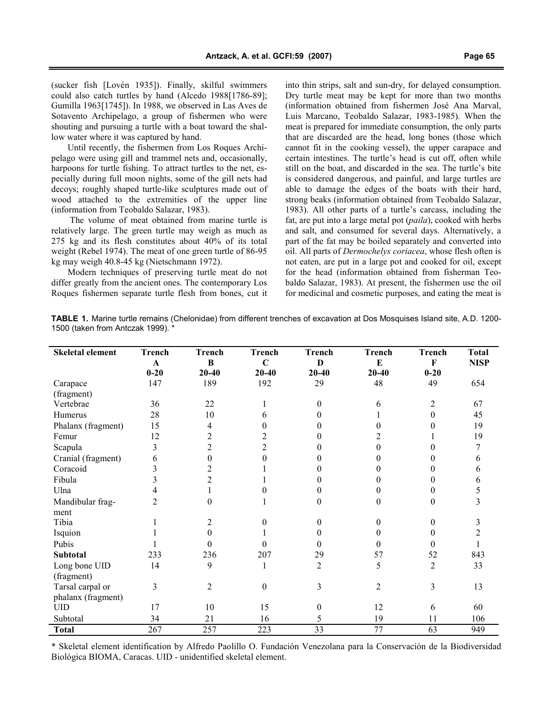(sucker fish [Lovén 1935]). Finally, skilful swimmers could also catch turtles by hand (Alcedo 1988[1786-89]; Gumilla 1963[1745]). In 1988, we observed in Las Aves de Sotavento Archipelago, a group of fishermen who were shouting and pursuing a turtle with a boat toward the shallow water where it was captured by hand.

Until recently, the fishermen from Los Roques Archipelago were using gill and trammel nets and, occasionally, harpoons for turtle fishing. To attract turtles to the net, especially during full moon nights, some of the gill nets had decoys; roughly shaped turtle-like sculptures made out of wood attached to the extremities of the upper line (information from Teobaldo Salazar, 1983).

The volume of meat obtained from marine turtle is relatively large. The green turtle may weigh as much as 275 kg and its flesh constitutes about 40% of its total weight (Rebel 1974). The meat of one green turtle of 86-95 kg may weigh 40.8-45 kg (Nietschmann 1972).

Modern techniques of preserving turtle meat do not differ greatly from the ancient ones. The contemporary Los Roques fishermen separate turtle flesh from bones, cut it into thin strips, salt and sun-dry, for delayed consumption. Dry turtle meat may be kept for more than two months (information obtained from fishermen José Ana Marval, Luis Marcano, Teobaldo Salazar, 1983-1985). When the meat is prepared for immediate consumption, the only parts that are discarded are the head, long bones (those which cannot fit in the cooking vessel), the upper carapace and certain intestines. The turtle's head is cut off, often while still on the boat, and discarded in the sea. The turtle's bite is considered dangerous, and painful, and large turtles are able to damage the edges of the boats with their hard, strong beaks (information obtained from Teobaldo Salazar, 1983). All other parts of a turtle's carcass, including the fat, are put into a large metal pot (paila), cooked with herbs and salt, and consumed for several days. Alternatively, a part of the fat may be boiled separately and converted into oil. All parts of Dermochelys coriacea, whose flesh often is not eaten, are put in a large pot and cooked for oil, except for the head (information obtained from fisherman Teobaldo Salazar, 1983). At present, the fishermen use the oil for medicinal and cosmetic purposes, and eating the meat is

TABLE 1. Marine turtle remains (Chelonidae) from different trenches of excavation at Dos Mosquises Island site, A.D. 1200- 1500 (taken from Antczak 1999). \*

| <b>Skeletal element</b> | <b>Trench</b> | <b>Trench</b>    | <b>Trench</b>    | <b>Trench</b>   | <b>Trench</b>    | <b>Trench</b>  | <b>Total</b> |
|-------------------------|---------------|------------------|------------------|-----------------|------------------|----------------|--------------|
|                         | $\mathbf A$   | B                | $\mathbf C$      | D               | ${\bf E}$        | F              | <b>NISP</b>  |
|                         | $0 - 20$      | $20 - 40$        | $20 - 40$        | $20 - 40$       | $20 - 40$        | $0 - 20$       |              |
| Carapace                | 147           | 189              | 192              | 29              | 48               | 49             | 654          |
| (fragment)              |               |                  |                  |                 |                  |                |              |
| Vertebrae               | 36            | 22               |                  | $\Omega$        | 6                | 2              | 67           |
| Humerus                 | 28            | 10               | 6                | 0               |                  | 0              | 45           |
| Phalanx (fragment)      | 15            | 4                | 0                |                 | 0                | 0              | 19           |
| Femur                   | 12            | 2                | 2                |                 | 2                |                | 19           |
| Scapula                 | 3             | $\overline{c}$   | 2                |                 | $\theta$         | 0              | 7            |
| Cranial (fragment)      | 6             | $\boldsymbol{0}$ | 0                |                 | 0                | 0              | 6            |
| Coracoid                | 3             | $\overline{c}$   |                  |                 | 0                | 0              | 6            |
| Fibula                  | 3             | $\overline{c}$   |                  |                 | 0                | $\theta$       | 6            |
| Ulna                    | 4             |                  |                  | $^{(1)}$        | $\theta$         | 0              | 5            |
| Mandibular frag-        | 2             | $\theta$         |                  | 0               | $\theta$         | $\Omega$       | 3            |
| ment                    |               |                  |                  |                 |                  |                |              |
| Tibia                   |               | 2                | $\Omega$         | 0               | $\boldsymbol{0}$ | $\theta$       | 3            |
| Isquion                 |               | $\theta$         |                  | 0               | $\theta$         | $\Omega$       | 2            |
| Pubis                   |               | $\Omega$         | 0                | 0               | $\theta$         | $\Omega$       |              |
| Subtotal                | 233           | 236              | 207              | 29              | 57               | 52             | 843          |
| Long bone UID           | 14            | 9                | 1                | 2               | 5                | $\overline{2}$ | 33           |
| (fragment)              |               |                  |                  |                 |                  |                |              |
| Tarsal carpal or        | 3             | $\overline{2}$   | $\boldsymbol{0}$ | 3               | $\overline{2}$   | 3              | 13           |
| phalanx (fragment)      |               |                  |                  |                 |                  |                |              |
| <b>UID</b>              | 17            | 10               | 15               | $\theta$        | 12               | 6              | 60           |
| Subtotal                | 34            | 21               | 16               | 5               | 19               | 11             | 106          |
| <b>Total</b>            | 267           | 257              | $\overline{223}$ | $\overline{33}$ | $\overline{77}$  | 63             | 949          |

\* Skeletal element identification by Alfredo Paolillo O. Fundación Venezolana para la Conservación de la Biodiversidad Biológica BIOMA, Caracas. UID - unidentified skeletal element.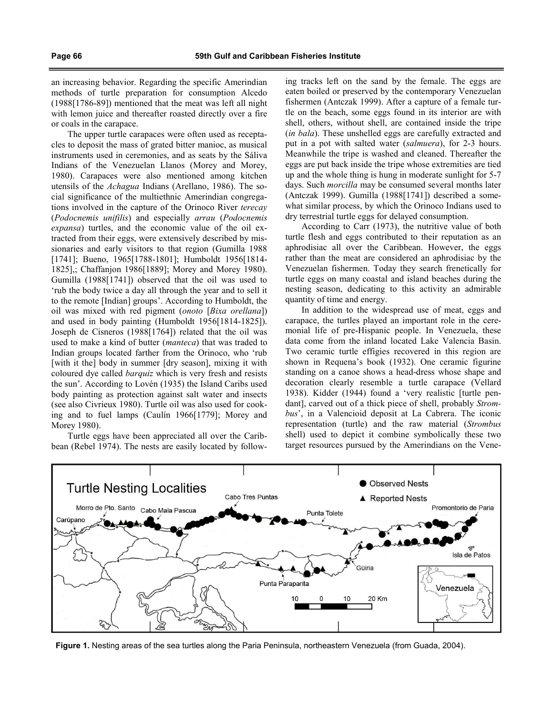an increasing behavior. Regarding the specific Amerindian methods of turtle preparation for consumption Alcedo (1988[1786-89]) mentioned that the meat was left all night with lemon juice and thereafter roasted directly over a fire or coals in the carapace.

The upper turtle carapaces were often used as receptacles to deposit the mass of grated bitter manioc, as musical instruments used in ceremonies, and as seats by the Sáliva Indians of the Venezuelan Llanos (Morey and Morey, 1980). Carapaces were also mentioned among kitchen utensils of the Achagua Indians (Arellano, 1986). The social significance of the multiethnic Amerindian congregations involved in the capture of the Orinoco River terecay (Podocnemis unifilis) and especially arrau (Podocnemis expansa) turtles, and the economic value of the oil extracted from their eggs, were extensively described by missionaries and early visitors to that region (Gumilla 1988 [1741]; Bueno, 1965[1788-1801]; Humboldt 1956[1814-1825],; Chaffanjon 1986[1889]; Morey and Morey 1980). Gumilla (1988[1741]) observed that the oil was used to 'rub the body twice a day all through the year and to sell it to the remote [Indian] groups'. According to Humboldt, the oil was mixed with red pigment (onoto [Bixa orellana]) and used in body painting (Humboldt 1956[1814-1825]). Joseph de Cisneros (1988[1764]) related that the oil was used to make a kind of butter (manteca) that was traded to Indian groups located farther from the Orinoco, who 'rub [with it the] body in summer [dry season], mixing it with coloured dye called barquiz which is very fresh and resists the sun'. According to Lovén (1935) the Island Caribs used body painting as protection against salt water and insects (see also Civrieux 1980). Turtle oil was also used for cooking and to fuel lamps (Caulín 1966[1779]; Morey and Morey 1980).

Turtle eggs have been appreciated all over the Caribbean (Rebel 1974). The nests are easily located by following tracks left on the sand by the female. The eggs are eaten boiled or preserved by the contemporary Venezuelan fishermen (Antczak 1999). After a capture of a female turtle on the beach, some eggs found in its interior are with shell, others, without shell, are contained inside the tripe (in bala). These unshelled eggs are carefully extracted and put in a pot with salted water (salmuera), for 2-3 hours. Meanwhile the tripe is washed and cleaned. Thereafter the eggs are put back inside the tripe whose extremities are tied up and the whole thing is hung in moderate sunlight for 5-7 days. Such *morcilla* may be consumed several months later (Antczak 1999). Gumilla (1988[1741]) described a somewhat similar process, by which the Orinoco Indians used to dry terrestrial turtle eggs for delayed consumption.

According to Carr (1973), the nutritive value of both turtle flesh and eggs contributed to their reputation as an aphrodisiac all over the Caribbean. However, the eggs rather than the meat are considered an aphrodisiac by the Venezuelan fishermen. Today they search frenetically for turtle eggs on many coastal and island beaches during the nesting season, dedicating to this activity an admirable quantity of time and energy.

In addition to the widespread use of meat, eggs and carapace, the turtles played an important role in the ceremonial life of pre-Hispanic people. In Venezuela, these data come from the inland located Lake Valencia Basin. Two ceramic turtle effigies recovered in this region are shown in Requena's book (1932). One ceramic figurine standing on a canoe shows a head-dress whose shape and decoration clearly resemble a turtle carapace (Vellard 1938). Kidder (1944) found a 'very realistic [turtle pendant], carved out of a thick piece of shell, probably Strombus', in a Valencioid deposit at La Cabrera. The iconic representation (turtle) and the raw material (Strombus shell) used to depict it combine symbolically these two target resources pursued by the Amerindians on the Vene-



Figure 1. Nesting areas of the sea turtles along the Paria Peninsula, northeastern Venezuela (from Guada, 2004).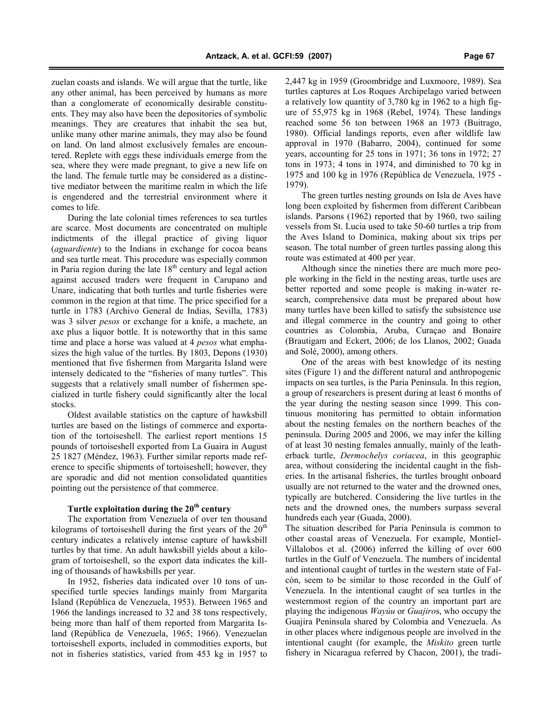zuelan coasts and islands. We will argue that the turtle, like any other animal, has been perceived by humans as more than a conglomerate of economically desirable constituents. They may also have been the depositories of symbolic meanings. They are creatures that inhabit the sea but, unlike many other marine animals, they may also be found on land. On land almost exclusively females are encountered. Replete with eggs these individuals emerge from the sea, where they were made pregnant, to give a new life on the land. The female turtle may be considered as a distinctive mediator between the maritime realm in which the life is engendered and the terrestrial environment where it comes to life.

During the late colonial times references to sea turtles are scarce. Most documents are concentrated on multiple indictments of the illegal practice of giving liquor (aguardiente) to the Indians in exchange for cocoa beans and sea turtle meat. This procedure was especially common in Paria region during the late  $18<sup>th</sup>$  century and legal action against accused traders were frequent in Carupano and Unare, indicating that both turtles and turtle fisheries were common in the region at that time. The price specified for a turtle in 1783 (Archivo General de Indias, Sevilla, 1783) was 3 silver *pesos* or exchange for a knife, a machete, an axe plus a liquor bottle. It is noteworthy that in this same time and place a horse was valued at 4 *pesos* what emphasizes the high value of the turtles. By 1803, Depons (1930) mentioned that five fishermen from Margarita Island were intensely dedicated to the "fisheries of many turtles". This suggests that a relatively small number of fishermen specialized in turtle fishery could significantly alter the local stocks.

Oldest available statistics on the capture of hawksbill turtles are based on the listings of commerce and exportation of the tortoiseshell. The earliest report mentions 15 pounds of tortoiseshell exported from La Guaira in August 25 1827 (Méndez, 1963). Further similar reports made reference to specific shipments of tortoiseshell; however, they are sporadic and did not mention consolidated quantities pointing out the persistence of that commerce.

# Turtle exploitation during the  $20<sup>th</sup>$  century

The exportation from Venezuela of over ten thousand kilograms of tortoiseshell during the first years of the  $20<sup>th</sup>$ century indicates a relatively intense capture of hawksbill turtles by that time. An adult hawksbill yields about a kilogram of tortoiseshell, so the export data indicates the killing of thousands of hawksbills per year.

In 1952, fisheries data indicated over 10 tons of unspecified turtle species landings mainly from Margarita Island (República de Venezuela, 1953). Between 1965 and 1966 the landings increased to 32 and 38 tons respectively, being more than half of them reported from Margarita Island (República de Venezuela, 1965; 1966). Venezuelan tortoiseshell exports, included in commodities exports, but not in fisheries statistics, varied from 453 kg in 1957 to

2,447 kg in 1959 (Groombridge and Luxmoore, 1989). Sea turtles captures at Los Roques Archipelago varied between a relatively low quantity of 3,780 kg in 1962 to a high figure of 55,975 kg in 1968 (Rebel, 1974). These landings reached some 56 ton between 1968 an 1973 (Buitrago, 1980). Official landings reports, even after wildlife law approval in 1970 (Babarro, 2004), continued for some years, accounting for 25 tons in 1971; 36 tons in 1972; 27 tons in 1973; 4 tons in 1974, and diminished to 70 kg in 1975 and 100 kg in 1976 (República de Venezuela, 1975 - 1979).

The green turtles nesting grounds on Isla de Aves have long been exploited by fishermen from different Caribbean islands. Parsons (1962) reported that by 1960, two sailing vessels from St. Lucia used to take 50-60 turtles a trip from the Aves Island to Dominica, making about six trips per season. The total number of green turtles passing along this route was estimated at 400 per year.

Although since the nineties there are much more people working in the field in the nesting areas, turtle uses are better reported and some people is making in-water research, comprehensive data must be prepared about how many turtles have been killed to satisfy the subsistence use and illegal commerce in the country and going to other countries as Colombia, Aruba, Curaçao and Bonaire (Brautigam and Eckert, 2006; de los Llanos, 2002; Guada and Solé, 2000), among others.

One of the areas with best knowledge of its nesting sites (Figure 1) and the different natural and anthropogenic impacts on sea turtles, is the Paria Peninsula. In this region, a group of researchers is present during at least 6 months of the year during the nesting season since 1999. This continuous monitoring has permitted to obtain information about the nesting females on the northern beaches of the peninsula. During 2005 and 2006, we may infer the killing of at least 30 nesting females annually, mainly of the leatherback turtle, Dermochelys coriacea, in this geographic area, without considering the incidental caught in the fisheries. In the artisanal fisheries, the turtles brought onboard usually are not returned to the water and the drowned ones, typically are butchered. Considering the live turtles in the nets and the drowned ones, the numbers surpass several hundreds each year (Guada, 2000).

The situation described for Paria Peninsula is common to other coastal areas of Venezuela. For example, Montiel-Villalobos et al. (2006) inferred the killing of over 600 turtles in the Gulf of Venezuela. The numbers of incidental and intentional caught of turtles in the western state of Falcón, seem to be similar to those recorded in the Gulf of Venezuela. In the intentional caught of sea turtles in the westernmost region of the country an important part are playing the indigenous Wayúu or Guajiros, who occupy the Guajira Peninsula shared by Colombia and Venezuela. As in other places where indigenous people are involved in the intentional caught (for example, the *Miskito* green turtle fishery in Nicaragua referred by Chacon, 2001), the tradi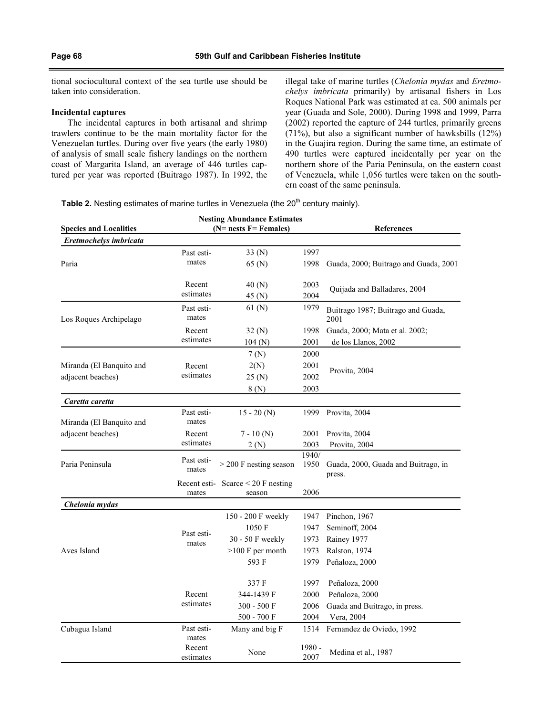tional sociocultural context of the sea turtle use should be taken into consideration.

### Incidental captures

The incidental captures in both artisanal and shrimp trawlers continue to be the main mortality factor for the Venezuelan turtles. During over five years (the early 1980) of analysis of small scale fishery landings on the northern coast of Margarita Island, an average of 446 turtles captured per year was reported (Buitrago 1987). In 1992, the illegal take of marine turtles (Chelonia mydas and Eretmochelys imbricata primarily) by artisanal fishers in Los Roques National Park was estimated at ca. 500 animals per year (Guada and Sole, 2000). During 1998 and 1999, Parra (2002) reported the capture of 244 turtles, primarily greens (71%), but also a significant number of hawksbills (12%) in the Guajira region. During the same time, an estimate of 490 turtles were captured incidentally per year on the northern shore of the Paria Peninsula, on the eastern coast of Venezuela, while 1,056 turtles were taken on the southern coast of the same peninsula.

Table 2. Nesting estimates of marine turtles in Venezuela (the 20<sup>th</sup> century mainly).

|                               |                     | <b>Nesting Abundance Estimates</b>                   |                   |                                               |  |
|-------------------------------|---------------------|------------------------------------------------------|-------------------|-----------------------------------------------|--|
| <b>Species and Localities</b> |                     | $(N=ness F= Females)$                                | <b>References</b> |                                               |  |
| Eretmochelys imbricata        |                     |                                                      |                   |                                               |  |
|                               | Past esti-          | 33 (N)                                               | 1997              |                                               |  |
| Paria                         | mates               | 65 (N)                                               | 1998              | Guada, 2000; Buitrago and Guada, 2001         |  |
|                               | Recent              | 40 (N)                                               | 2003              | Quijada and Balladares, 2004                  |  |
|                               | estimates           | 45 (N)                                               | 2004              |                                               |  |
| Los Roques Archipelago        | Past esti-<br>mates | 61 (N)                                               | 1979              | Buitrago 1987; Buitrago and Guada,<br>2001    |  |
|                               | Recent              | 32 (N)                                               | 1998              | Guada, 2000; Mata et al. 2002;                |  |
|                               | estimates           | 104(N)                                               | 2001              | de los Llanos, 2002                           |  |
|                               |                     | 7(N)                                                 | 2000              |                                               |  |
| Miranda (El Banquito and      | Recent              | 2(N)                                                 | 2001              |                                               |  |
| adjacent beaches)             | estimates           | 25(N)                                                | 2002              | Provita, 2004                                 |  |
|                               |                     | 8(N)                                                 | 2003              |                                               |  |
| Caretta caretta               |                     |                                                      |                   |                                               |  |
| Miranda (El Banquito and      | Past esti-<br>mates | $15 - 20(N)$                                         | 1999              | Provita, 2004                                 |  |
| adjacent beaches)             | Recent              | $7 - 10(N)$                                          | 2001              | Provita, 2004                                 |  |
|                               | estimates           | 2(N)                                                 | 2003              | Provita, 2004                                 |  |
| Paria Peninsula               | Past esti-<br>mates | $>$ 200 F nesting season                             | 1940/<br>1950     | Guada, 2000, Guada and Buitrago, in<br>press. |  |
|                               | mates               | Recent esti- $\text{Score} < 20$ F nesting<br>season | 2006              |                                               |  |
| Chelonia mydas                |                     |                                                      |                   |                                               |  |
|                               |                     | 150 - 200 F weekly                                   | 1947              | Pinchon, 1967                                 |  |
|                               |                     | 1050 F                                               | 1947              | Seminoff, 2004                                |  |
|                               | Past esti-          | 30 - 50 F weekly                                     | 1973              | Rainey 1977                                   |  |
| Aves Island                   | mates               | $>100$ F per month                                   | 1973              | Ralston, 1974                                 |  |
|                               |                     | 593 F                                                | 1979              | Peñaloza, 2000                                |  |
|                               |                     | 337 F                                                | 1997              | Peñaloza, 2000                                |  |
|                               | Recent              | 344-1439 F                                           | 2000              | Peñaloza, 2000                                |  |
|                               | estimates           | 300 - 500 F                                          | 2006              | Guada and Buitrago, in press.                 |  |
|                               |                     | 500 - 700 F                                          | 2004              | Vera, 2004                                    |  |
| Cubagua Island                | Past esti-<br>mates | Many and big F                                       | 1514              | Fernandez de Oviedo, 1992                     |  |
|                               | Recent<br>estimates | None                                                 | 1980 -<br>2007    | Medina et al., 1987                           |  |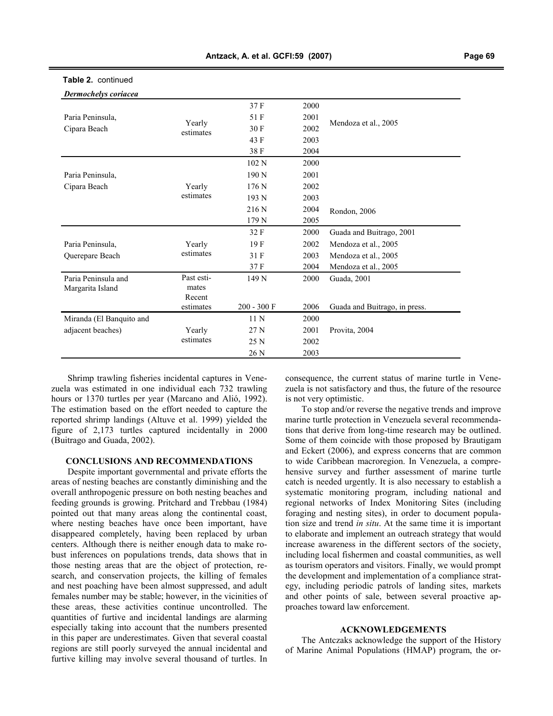| Dermochelys coriacea     |                     |               |      |                               |
|--------------------------|---------------------|---------------|------|-------------------------------|
|                          |                     | 37 F          | 2000 |                               |
| Paria Peninsula,         |                     | 51 F          | 2001 |                               |
| Cipara Beach             | Yearly<br>estimates | 30 F          | 2002 | Mendoza et al., 2005          |
|                          |                     | 43 F          | 2003 |                               |
|                          |                     | 38 F          | 2004 |                               |
|                          |                     | 102N          | 2000 |                               |
| Paria Peninsula,         |                     | 190 N         | 2001 |                               |
| Cipara Beach             | Yearly              | 176 N         | 2002 |                               |
|                          | estimates           | 193 N         | 2003 |                               |
|                          |                     | 216 N         | 2004 | Rondon, 2006                  |
|                          |                     | 179 N         | 2005 |                               |
|                          |                     | 32 F          | 2000 | Guada and Buitrago, 2001      |
| Paria Peninsula,         | Yearly              | 19F           | 2002 | Mendoza et al., 2005          |
| Querepare Beach          | estimates           | 31 F          | 2003 | Mendoza et al., 2005          |
|                          |                     | 37 F          | 2004 | Mendoza et al., 2005          |
| Paria Peninsula and      | Past esti-          | 149 N         | 2000 | Guada, 2001                   |
| Margarita Island         | mates               |               |      |                               |
|                          | Recent              |               |      |                               |
|                          | estimates           | $200 - 300 F$ | 2006 | Guada and Buitrago, in press. |
| Miranda (El Banquito and |                     | 11 N          | 2000 |                               |
| adjacent beaches)        | Yearly              | 27 N          | 2001 | Provita, 2004                 |
|                          | estimates           | 25 N          | 2002 |                               |
|                          |                     | 26 N          | 2003 |                               |

# Table 2. continued

Shrimp trawling fisheries incidental captures in Venezuela was estimated in one individual each 732 trawling hours or 1370 turtles per year (Marcano and Alió, 1992). The estimation based on the effort needed to capture the reported shrimp landings (Altuve et al. 1999) yielded the figure of 2,173 turtles captured incidentally in 2000 (Buitrago and Guada, 2002).

## CONCLUSIONS AND RECOMMENDATIONS

Despite important governmental and private efforts the areas of nesting beaches are constantly diminishing and the overall anthropogenic pressure on both nesting beaches and feeding grounds is growing. Pritchard and Trebbau (1984) pointed out that many areas along the continental coast, where nesting beaches have once been important, have disappeared completely, having been replaced by urban centers. Although there is neither enough data to make robust inferences on populations trends, data shows that in those nesting areas that are the object of protection, research, and conservation projects, the killing of females and nest poaching have been almost suppressed, and adult females number may be stable; however, in the vicinities of these areas, these activities continue uncontrolled. The quantities of furtive and incidental landings are alarming especially taking into account that the numbers presented in this paper are underestimates. Given that several coastal regions are still poorly surveyed the annual incidental and furtive killing may involve several thousand of turtles. In consequence, the current status of marine turtle in Venezuela is not satisfactory and thus, the future of the resource is not very optimistic.

To stop and/or reverse the negative trends and improve marine turtle protection in Venezuela several recommendations that derive from long-time research may be outlined. Some of them coincide with those proposed by Brautigam and Eckert (2006), and express concerns that are common to wide Caribbean macroregion. In Venezuela, a comprehensive survey and further assessment of marine turtle catch is needed urgently. It is also necessary to establish a systematic monitoring program, including national and regional networks of Index Monitoring Sites (including foraging and nesting sites), in order to document population size and trend in situ. At the same time it is important to elaborate and implement an outreach strategy that would increase awareness in the different sectors of the society, including local fishermen and coastal communities, as well as tourism operators and visitors. Finally, we would prompt the development and implementation of a compliance strategy, including periodic patrols of landing sites, markets and other points of sale, between several proactive approaches toward law enforcement.

### ACKNOWLEDGEMENTS

The Antczaks acknowledge the support of the History of Marine Animal Populations (HMAP) program, the or-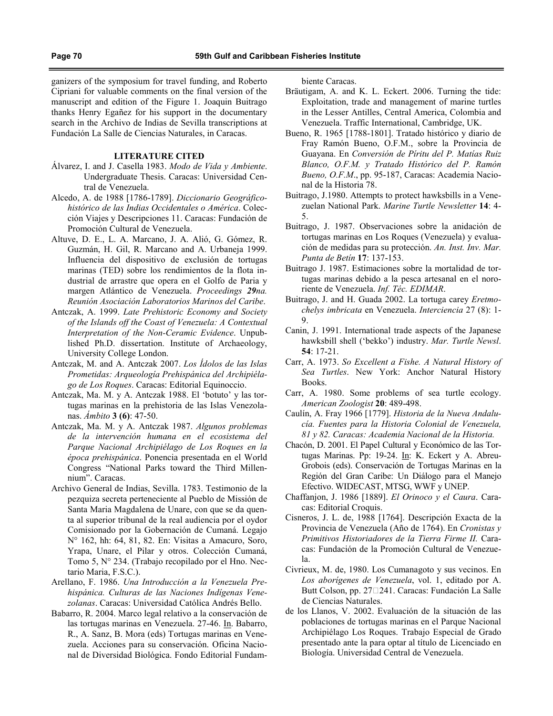ganizers of the symposium for travel funding, and Roberto Cipriani for valuable comments on the final version of the manuscript and edition of the Figure 1. Joaquin Buitrago thanks Henry Egañez for his support in the documentary search in the Archivo de Indias de Sevilla transcriptions at Fundación La Salle de Ciencias Naturales, in Caracas.

#### LITERATURE CITED

- Álvarez, I. and J. Casella 1983. Modo de Vida y Ambiente. Undergraduate Thesis. Caracas: Universidad Central de Venezuela.
- Alcedo, A. de 1988 [1786-1789]. Diccionario Geográficohistórico de las Indias Occidentales o América. Colección Viajes y Descripciones 11. Caracas: Fundación de Promoción Cultural de Venezuela.
- Altuve, D. E., L. A. Marcano, J. A. Alió, G. Gómez, R. Guzmán, H. Gil, R. Marcano and A. Urbaneja 1999. Influencia del dispositivo de exclusión de tortugas marinas (TED) sobre los rendimientos de la flota industrial de arrastre que opera en el Golfo de Paria y margen Atlántico de Venezuela. Proceedings 29na. Reunión Asociación Laboratorios Marinos del Caribe.
- Antczak, A. 1999. Late Prehistoric Economy and Society of the Islands off the Coast of Venezuela: A Contextual Interpretation of the Non-Ceramic Evidence. Unpublished Ph.D. dissertation. Institute of Archaeology, University College London.
- Antczak, M. and A. Antczak 2007. Los Ídolos de las Islas Prometidas: Arqueología Prehispánica del Archipiélago de Los Roques. Caracas: Editorial Equinoccio.
- Antczak, Ma. M. y A. Antczak 1988. El 'botuto' y las tortugas marinas en la prehistoria de las Islas Venezolanas. *Ámbito* **3** (6): 47-50.
- Antczak, Ma. M. y A. Antczak 1987. Algunos problemas de la intervención humana en el ecosistema del Parque Nacional Archipiélago de Los Roques en la época prehispánica. Ponencia presentada en el World Congress "National Parks toward the Third Millennium". Caracas.
- Archivo General de Indias, Sevilla. 1783. Testimonio de la pezquiza secreta perteneciente al Pueblo de Missión de Santa Maria Magdalena de Unare, con que se da quenta al superior tribunal de la real audiencia por el oydor Comisionado por la Gobernación de Cumaná. Legajo N° 162, hh: 64, 81, 82. En: Visitas a Amacuro, Soro, Yrapa, Unare, el Pilar y otros. Colección Cumaná, Tomo 5, N° 234. (Trabajo recopilado por el Hno. Nectario Maria, F.S.C.).
- Arellano, F. 1986. Una Introducción a la Venezuela Prehispánica. Culturas de las Naciones Indígenas Venezolanas. Caracas: Universidad Católica Andrés Bello.
- Babarro, R. 2004. Marco legal relativo a la conservación de las tortugas marinas en Venezuela. 27-46. In. Babarro, R., A. Sanz, B. Mora (eds) Tortugas marinas en Venezuela. Acciones para su conservación. Oficina Nacional de Diversidad Biológica. Fondo Editorial Fundam-

biente Caracas.

- Bräutigam, A. and K. L. Eckert. 2006. Turning the tide: Exploitation, trade and management of marine turtles in the Lesser Antilles, Central America, Colombia and Venezuela. Traffic International, Cambridge, UK.
- Bueno, R. 1965 [1788-1801]. Tratado histórico y diario de Fray Ramón Bueno, O.F.M., sobre la Provincia de Guayana. En Conversión de Píritu del P. Matías Ruiz Blanco, O.F.M. y Tratado Histórico del P. Ramón Bueno, O.F.M., pp. 95-187, Caracas: Academia Nacional de la Historia 78.
- Buitrago, J.1980. Attempts to protect hawksbills in a Venezuelan National Park. Marine Turtle Newsletter 14: 4- 5.
- Buitrago, J. 1987. Observaciones sobre la anidación de tortugas marinas en Los Roques (Venezuela) y evaluación de medidas para su protección. An. Inst. Inv. Mar. Punta de Betín 17: 137-153.
- Buitrago J. 1987. Estimaciones sobre la mortalidad de tortugas marinas debido a la pesca artesanal en el nororiente de Venezuela. Inf. Téc. EDIMAR.
- Buitrago, J. and H. Guada 2002. La tortuga carey Eretmochelys imbricata en Venezuela. Interciencia 27 (8): 1- 9.
- Canin, J. 1991. International trade aspects of the Japanese hawksbill shell ('bekko') industry. Mar. Turtle Newsl. 54: 17-21.
- Carr, A. 1973. So Excellent a Fishe. A Natural History of Sea Turtles. New York: Anchor Natural History Books.
- Carr, A. 1980. Some problems of sea turtle ecology. American Zoologist 20: 489-498.
- Caulín, A. Fray 1966 [1779]. Historia de la Nueva Andalucía. Fuentes para la Historia Colonial de Venezuela, 81 y 82. Caracas: Academia Nacional de la Historia.
- Chacón, D. 2001. El Papel Cultural y Económico de las Tortugas Marinas. Pp: 19-24. In: K. Eckert y A. Abreu-Grobois (eds). Conservación de Tortugas Marinas en la Región del Gran Caribe: Un Diálogo para el Manejo Efectivo. WIDECAST, MTSG, WWF y UNEP.
- Chaffanjon, J. 1986 [1889]. El Orinoco y el Caura. Caracas: Editorial Croquis.
- Cisneros, J. L. de, 1988 [1764]. Descripción Exacta de la Provincia de Venezuela (Año de 1764). En Cronistas y Primitivos Historiadores de la Tierra Firme II. Caracas: Fundación de la Promoción Cultural de Venezuela.
- Civrieux, M. de, 1980. Los Cumanagoto y sus vecinos. En Los aborígenes de Venezuela, vol. 1, editado por A. Butt Colson, pp. 27^241. Caracas: Fundación La Salle de Ciencias Naturales.
- de los Llanos, V. 2002. Evaluación de la situación de las poblaciones de tortugas marinas en el Parque Nacional Archipiélago Los Roques. Trabajo Especial de Grado presentado ante la para optar al título de Licenciado en Biología. Universidad Central de Venezuela.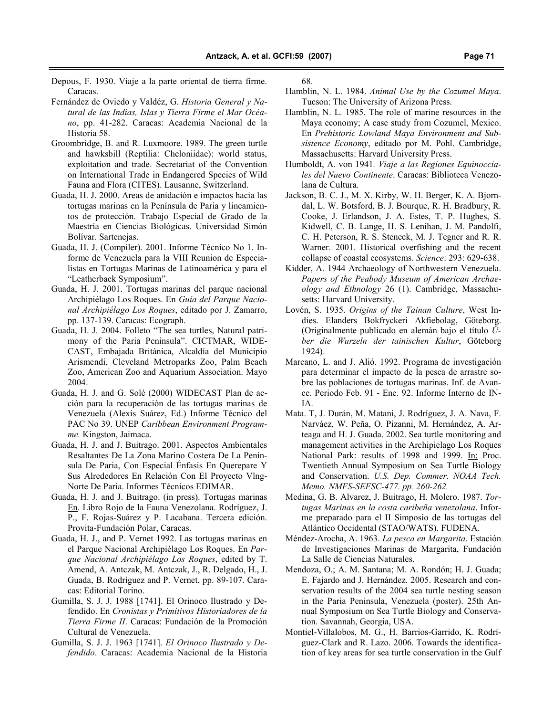- Depous, F. 1930. Viaje a la parte oriental de tierra firme. Caracas.
- Fernández de Oviedo y Valdéz, G. Historia General y Natural de las Indias, Islas y Tierra Firme el Mar Océano, pp. 41-282. Caracas: Academia Nacional de la Historia 58.
- Groombridge, B. and R. Luxmoore. 1989. The green turtle and hawksbill (Reptilia: Cheloniidae): world status, exploitation and trade. Secretariat of the Convention on International Trade in Endangered Species of Wild Fauna and Flora (CITES). Lausanne, Switzerland.
- Guada, H. J. 2000. Areas de anidación e impactos hacia las tortugas marinas en la Península de Paria y lineamientos de protección. Trabajo Especial de Grado de la Maestría en Ciencias Biológicas. Universidad Simón Bolívar. Sartenejas.
- Guada, H. J. (Compiler). 2001. Informe Técnico No 1. Informe de Venezuela para la VIII Reunion de Especialistas en Tortugas Marinas de Latinoamérica y para el "Leatherback Symposium".
- Guada, H. J. 2001. Tortugas marinas del parque nacional Archipiélago Los Roques. En Guía del Parque Nacional Archipiélago Los Roques, editado por J. Zamarro, pp. 137-139. Caracas: Ecograph.
- Guada, H. J. 2004. Folleto "The sea turtles, Natural patrimony of the Paria Peninsula". CICTMAR, WIDE-CAST, Embajada Británica, Alcaldía del Municipio Arismendi, Cleveland Metroparks Zoo, Palm Beach Zoo, American Zoo and Aquarium Association. Mayo 2004.
- Guada, H. J. and G. Solé (2000) WIDECAST Plan de acción para la recuperación de las tortugas marinas de Venezuela (Alexis Suárez, Ed.) Informe Técnico del PAC No 39. UNEP Caribbean Environment Programme. Kingston, Jaimaca.
- Guada, H. J. and J. Buitrago. 2001. Aspectos Ambientales Resaltantes De La Zona Marino Costera De La Península De Paria, Con Especial Énfasis En Querepare Y Sus Alrededores En Relación Con El Proyecto Vlng-Norte De Paria. Informes Técnicos EDIMAR.
- Guada, H. J. and J. Buitrago. (in press). Tortugas marinas En. Libro Rojo de la Fauna Venezolana. Rodríguez, J. P., F. Rojas-Suárez y P. Lacabana. Tercera edición. Provita-Fundación Polar, Caracas.
- Guada, H. J., and P. Vernet 1992. Las tortugas marinas en el Parque Nacional Archipiélago Los Roques. En Parque Nacional Archipiélago Los Roques, edited by T. Amend, A. Antczak, M. Antczak, J., R. Delgado, H., J. Guada, B. Rodríguez and P. Vernet, pp. 89-107. Caracas: Editorial Torino.
- Gumilla, S. J. J. 1988 [1741]. El Orinoco Ilustrado y Defendido. En Cronistas y Primitivos Historiadores de la Tierra Firme II. Caracas: Fundación de la Promoción Cultural de Venezuela.
- Gumilla, S. J. J. 1963 [1741]. El Orinoco Ilustrado y Defendido. Caracas: Academia Nacional de la Historia

68.

Hamblin, N. L. 1984. Animal Use by the Cozumel Maya. Tucson: The University of Arizona Press.

- Hamblin, N. L. 1985. The role of marine resources in the Maya economy; A case study from Cozumel, Mexico. En Prehistoric Lowland Maya Environment and Subsistence Economy, editado por M. Pohl. Cambridge, Massachusetts: Harvard University Press.
- Humboldt, A. von 1941. Viaje a las Regiones Equinocciales del Nuevo Continente. Caracas: Biblioteca Venezolana de Cultura.
- Jackson, B. C. J., M. X. Kirby, W. H. Berger, K. A. Bjorndal, L. W. Botsford, B. J. Bourque, R. H. Bradbury, R. Cooke, J. Erlandson, J. A. Estes, T. P. Hughes, S. Kidwell, C. B. Lange, H. S. Lenihan, J. M. Pandolfi, C. H. Peterson, R. S. Steneck, M. J. Tegner and R. R. Warner. 2001. Historical overfishing and the recent collapse of coastal ecosystems. Science: 293: 629-638.
- Kidder, A. 1944 Archaeology of Northwestern Venezuela. Papers of the Peabody Museum of American Archaeology and Ethnology 26 (1). Cambridge, Massachusetts: Harvard University.
- Lovén, S. 1935. Origins of the Tainan Culture, West Indies. Elanders Bokfryckeri Akfiebolag, Göteborg. (Originalmente publicado en alemán bajo el título Über die Wurzeln der tainischen Kultur, Göteborg 1924).
- Marcano, L. and J. Alió. 1992. Programa de investigación para determinar el impacto de la pesca de arrastre sobre las poblaciones de tortugas marinas. Inf. de Avance. Periodo Feb. 91 - Ene. 92. Informe Interno de IN-IA.
- Mata. T, J. Durán, M. Matani, J. Rodríguez, J. A. Nava, F. Narváez, W. Peña, O. Pizanni, M. Hernández, A. Arteaga and H. J. Guada. 2002. Sea turtle monitoring and management activities in the Archipielago Los Roques National Park: results of 1998 and 1999. In: Proc. Twentieth Annual Symposium on Sea Turtle Biology and Conservation. U.S. Dep. Commer. NOAA Tech. Memo. NMFS-SEFSC-477. pp. 260-262.
- Medina, G. B. Alvarez, J. Buitrago, H. Molero. 1987. Tortugas Marinas en la costa caribeña venezolana. Informe preparado para el II Simposio de las tortugas del Atlántico Occidental (STAO/WATS). FUDENA.
- Méndez-Arocha, A. 1963. La pesca en Margarita. Estación de Investigaciones Marinas de Margarita, Fundación La Salle de Ciencias Naturales.
- Mendoza, O.; A. M. Santana; M. A. Rondón; H. J. Guada; E. Fajardo and J. Hernández. 2005. Research and conservation results of the 2004 sea turtle nesting season in the Paria Peninsula, Venezuela (poster). 25th Annual Symposium on Sea Turtle Biology and Conservation. Savannah, Georgia, USA.
- Montiel-Villalobos, M. G., H. Barrios-Garrido, K. Rodríguez-Clark and R. Lazo. 2006. Towards the identification of key areas for sea turtle conservation in the Gulf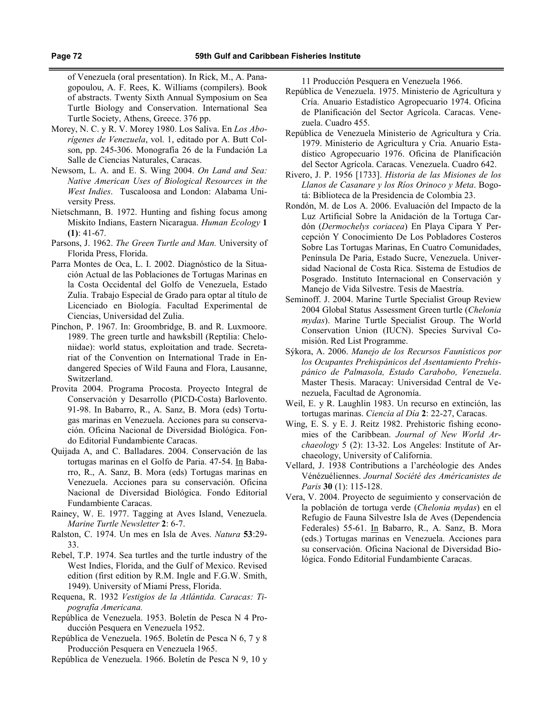of Venezuela (oral presentation). In Rick, M., A. Panagopoulou, A. F. Rees, K. Williams (compilers). Book of abstracts. Twenty Sixth Annual Symposium on Sea Turtle Biology and Conservation. International Sea Turtle Society, Athens, Greece. 376 pp.

- Morey, N. C. y R. V. Morey 1980. Los Salíva. En Los Aborígenes de Venezuela, vol. 1, editado por A. Butt Colson, pp. 245-306. Monografía 26 de la Fundación La Salle de Ciencias Naturales, Caracas.
- Newsom, L. A. and E. S. Wing 2004. On Land and Sea: Native American Uses of Biological Resources in the West Indies. Tuscaloosa and London: Alabama University Press.
- Nietschmann, B. 1972. Hunting and fishing focus among Miskito Indians, Eastern Nicaragua. Human Ecology 1  $(1): 41-67.$
- Parsons, J. 1962. The Green Turtle and Man. University of Florida Press, Florida.
- Parra Montes de Oca, L. I. 2002. Diagnóstico de la Situación Actual de las Poblaciones de Tortugas Marinas en la Costa Occidental del Golfo de Venezuela, Estado Zulia. Trabajo Especial de Grado para optar al título de Licenciado en Biología. Facultad Experimental de Ciencias, Universidad del Zulia.
- Pinchon, P. 1967. In: Groombridge, B. and R. Luxmoore. 1989. The green turtle and hawksbill (Reptilia: Cheloniidae): world status, exploitation and trade. Secretariat of the Convention on International Trade in Endangered Species of Wild Fauna and Flora, Lausanne, Switzerland.
- Provita 2004. Programa Procosta. Proyecto Integral de Conservación y Desarrollo (PICD-Costa) Barlovento. 91-98. In Babarro, R., A. Sanz, B. Mora (eds) Tortugas marinas en Venezuela. Acciones para su conservación. Oficina Nacional de Diversidad Biológica. Fondo Editorial Fundambiente Caracas.
- Quijada A, and C. Balladares. 2004. Conservación de las tortugas marinas en el Golfo de Paria. 47-54. In Babarro, R., A. Sanz, B. Mora (eds) Tortugas marinas en Venezuela. Acciones para su conservación. Oficina Nacional de Diversidad Biológica. Fondo Editorial Fundambiente Caracas.
- Rainey, W. E. 1977. Tagging at Aves Island, Venezuela. Marine Turtle Newsletter 2: 6-7.
- Ralston, C. 1974. Un mes en Isla de Aves. Natura 53:29- 33.
- Rebel, T.P. 1974. Sea turtles and the turtle industry of the West Indies, Florida, and the Gulf of Mexico. Revised edition (first edition by R.M. Ingle and F.G.W. Smith, 1949). University of Miami Press, Florida.
- Requena, R. 1932 Vestigios de la Atlántida. Caracas: Tipografía Americana.
- República de Venezuela. 1953. Boletín de Pesca N 4 Producción Pesquera en Venezuela 1952.
- República de Venezuela. 1965. Boletín de Pesca N 6, 7 y 8 Producción Pesquera en Venezuela 1965.
- República de Venezuela. 1966. Boletín de Pesca N 9, 10 y

11 Producción Pesquera en Venezuela 1966.

- República de Venezuela. 1975. Ministerio de Agricultura y Cría. Anuario Estadístico Agropecuario 1974. Oficina de Planificación del Sector Agrícola. Caracas. Venezuela. Cuadro 455.
- República de Venezuela Ministerio de Agricultura y Cría. 1979. Ministerio de Agricultura y Cria. Anuario Estadístico Agropecuario 1976. Oficina de Planificación del Sector Agrícola. Caracas. Venezuela. Cuadro 642.
- Rivero, J. P. 1956 [1733]. Historia de las Misiones de los Llanos de Casanare y los Ríos Orinoco y Meta. Bogotá: Biblioteca de la Presidencia de Colombia 23.
- Rondón, M. de Los A. 2006. Evaluación del Impacto de la Luz Artificial Sobre la Anidación de la Tortuga Cardón (Dermochelys coriacea) En Playa Cipara Y Percepción Y Conocimiento De Los Pobladores Costeros Sobre Las Tortugas Marinas, En Cuatro Comunidades, Península De Paria, Estado Sucre, Venezuela. Universidad Nacional de Costa Rica. Sistema de Estudios de Posgrado. Instituto Internacional en Conservación y Manejo de Vida Silvestre. Tesis de Maestría.
- Seminoff. J. 2004. Marine Turtle Specialist Group Review 2004 Global Status Assessment Green turtle (Chelonia mydas). Marine Turtle Specialist Group. The World Conservation Union (IUCN). Species Survival Comisión. Red List Programme.
- Sýkora, A. 2006. Manejo de los Recursos Faunísticos por los Ocupantes Prehispánicos del Asentamiento Prehispánico de Palmasola, Estado Carabobo, Venezuela. Master Thesis. Maracay: Universidad Central de Venezuela, Facultad de Agronomía.
- Weil, E. y R. Laughlin 1983. Un recurso en extinción, las tortugas marinas. Ciencia al Día 2: 22-27, Caracas.
- Wing, E. S. y E. J. Reitz 1982. Prehistoric fishing economies of the Caribbean. Journal of New World Archaeology 5 (2): 13-32. Los Angeles: Institute of Archaeology, University of California.
- Vellard, J. 1938 Contributions a l'archéologie des Andes Vénézuéliennes. Journal Société des Américanistes de Paris 30 (1): 115-128.
- Vera, V. 2004. Proyecto de seguimiento y conservación de la población de tortuga verde (Chelonia mydas) en el Refugio de Fauna Silvestre Isla de Aves (Dependencia Federales) 55-61. In Babarro, R., A. Sanz, B. Mora (eds.) Tortugas marinas en Venezuela. Acciones para su conservación. Oficina Nacional de Diversidad Biológica. Fondo Editorial Fundambiente Caracas.